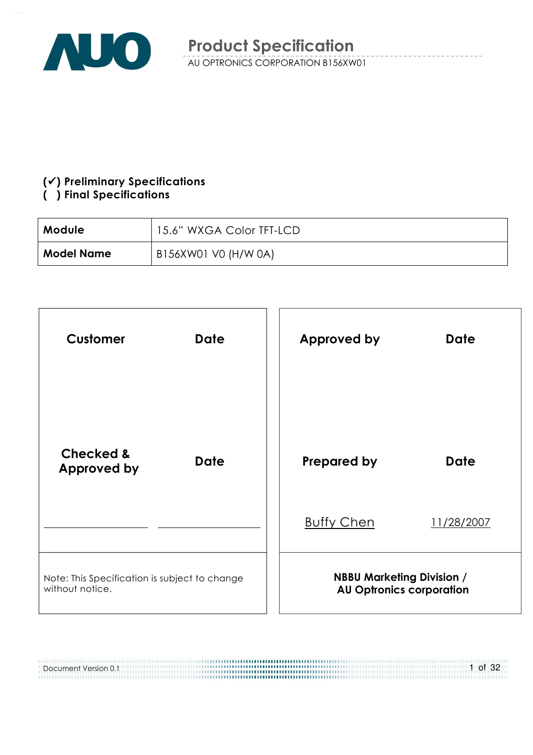

#### $(\checkmark)$  Preliminary Specifications

#### () Final Specifications

Document Version 0.1

| <b>Module</b>     | 15.6" WXGA Color TFT-LCD |
|-------------------|--------------------------|
| <b>Model Name</b> | B156XW01 V0 (H/W 0A)     |



,,,,,,,,,,,,,,,,,,,,,,,,,,,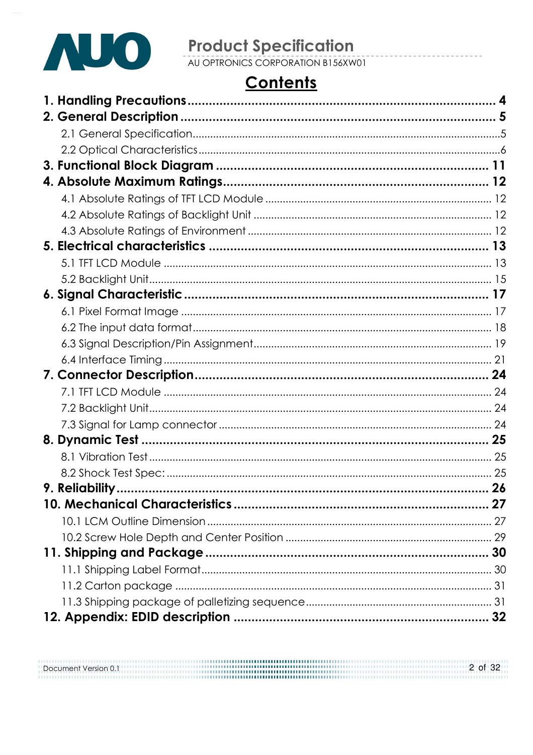

# **Product Specification**<br>AU OPTRONICS CORPORATION B156XW01

# **Contents**

Document Version 0.1 2 of 32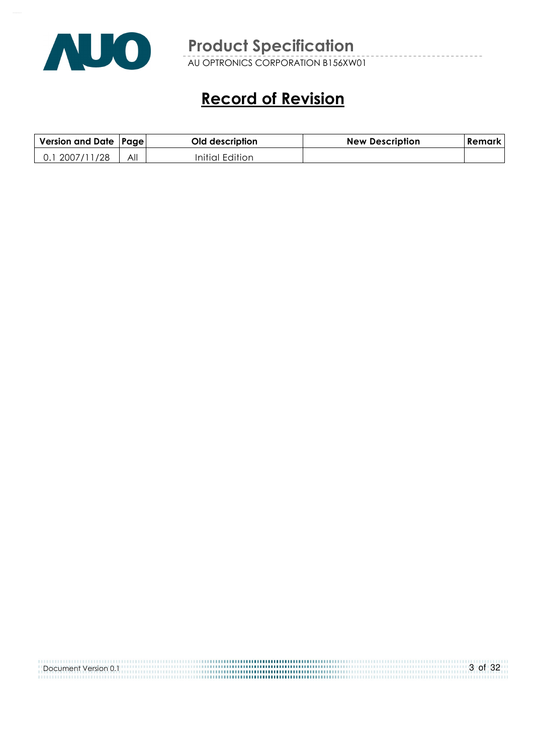

AU OPTRONICS CORPORATION B156XW01

# Record of Revision

| Version and Date   Page |     | Old description | <b>New Description</b> | Remark |
|-------------------------|-----|-----------------|------------------------|--------|
| 2007/11/28              | All | Initial Edition |                        |        |

| Document Version 0.1 | 3 of 32 |
|----------------------|---------|
|                      |         |
|                      |         |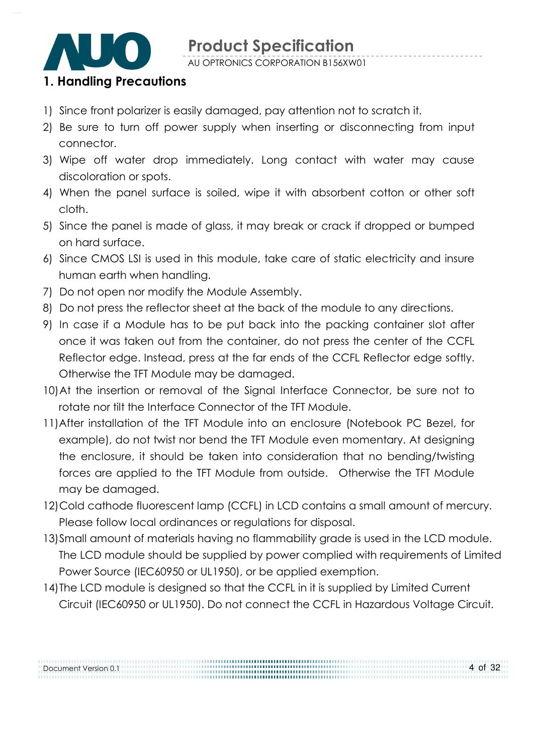

AU OPTRONICS CORPORATION B156XW01

#### 1. Handling Precautions

- 1) Since front polarizer is easily damaged, pay attention not to scratch it.
- 2) Be sure to turn off power supply when inserting or disconnecting from input connector.
- 3) Wipe off water drop immediately. Long contact with water may cause discoloration or spots.
- 4) When the panel surface is soiled, wipe it with absorbent cotton or other soft cloth.
- 5) Since the panel is made of glass, it may break or crack if dropped or bumped on hard surface.
- 6) Since CMOS LSI is used in this module, take care of static electricity and insure human earth when handling.
- 7) Do not open nor modify the Module Assembly.
- 8) Do not press the reflector sheet at the back of the module to any directions.
- 9) In case if a Module has to be put back into the packing container slot after once it was taken out from the container, do not press the center of the CCFL Reflector edge. Instead, press at the far ends of the CCFL Reflector edge softly. Otherwise the TFT Module may be damaged.
- 10)At the insertion or removal of the Signal Interface Connector, be sure not to rotate nor tilt the Interface Connector of the TFT Module.
- 11) After installation of the TFT Module into an enclosure (Notebook PC Bezel, for example), do not twist nor bend the TFT Module even momentary. At designing the enclosure, it should be taken into consideration that no bending/twisting forces are applied to the TFT Module from outside. Otherwise the TFT Module may be damaged.
- 12)Cold cathode fluorescent lamp (CCFL) in LCD contains a small amount of mercury. Please follow local ordinances or regulations for disposal.
- 13)Small amount of materials having no flammability grade is used in the LCD module. The LCD module should be supplied by power complied with requirements of Limited Power Source (IEC60950 or UL1950), or be applied exemption.
- 14)The LCD module is designed so that the CCFL in it is supplied by Limited Current Circuit (IEC60950 or UL1950). Do not connect the CCFL in Hazardous Voltage Circuit.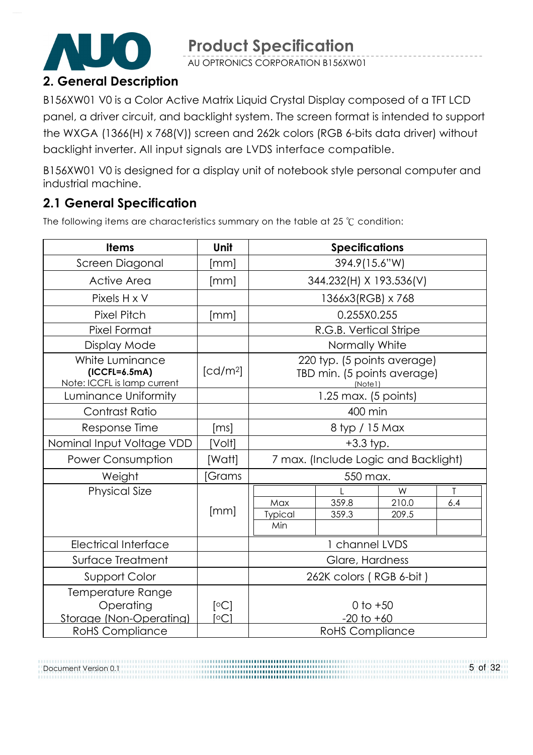AU OPTRONICS CORPORATION B156XW01

# 2. General Description

B156XW01 V0 is a Color Active Matrix Liquid Crystal Display composed of a TFT LCD panel, a driver circuit, and backlight system. The screen format is intended to support the WXGA (1366(H) x 768(V)) screen and 262k colors (RGB 6-bits data driver) without backlight inverter. All input signals are LVDS interface compatible.

B156XW01 V0 is designed for a display unit of notebook style personal computer and industrial machine.

# 2.1 General Specification

Document Version 0.1

The following items are characteristics summary on the table at 25  $°C$  condition:

| <b>Items</b>                                                      | Unit                 |                                                                            | <b>Specifications</b>                |  |  |  |
|-------------------------------------------------------------------|----------------------|----------------------------------------------------------------------------|--------------------------------------|--|--|--|
| Screen Diagonal                                                   | [mm]                 | 394.9(15.6"W)                                                              |                                      |  |  |  |
| <b>Active Area</b>                                                | [mm]                 |                                                                            | 344.232(H) X 193.536(V)              |  |  |  |
| Pixels H x V                                                      |                      |                                                                            | 1366x3(RGB) x 768                    |  |  |  |
| <b>Pixel Pitch</b>                                                | [mm]                 |                                                                            | 0.255X0.255                          |  |  |  |
| Pixel Format                                                      |                      |                                                                            | R.G.B. Vertical Stripe               |  |  |  |
| Display Mode                                                      |                      |                                                                            | Normally White                       |  |  |  |
| White Luminance<br>$(ICCFL=6.5mA)$<br>Note: ICCFL is lamp current | [cd/m <sup>2</sup> ] | 220 typ. (5 points average)<br>TBD min. (5 points average)<br>(Note1)      |                                      |  |  |  |
| Luminance Uniformity                                              |                      | 1.25 max. (5 points)                                                       |                                      |  |  |  |
| Contrast Ratio                                                    |                      | 400 min                                                                    |                                      |  |  |  |
| Response Time                                                     | [ms]                 | 8 typ / 15 Max                                                             |                                      |  |  |  |
| Nominal Input Voltage VDD                                         | [Volt]               | $+3.3$ typ.                                                                |                                      |  |  |  |
| <b>Power Consumption</b>                                          | [Watt]               |                                                                            | 7 max. (Include Logic and Backlight) |  |  |  |
| Weight                                                            | <b>Grams</b>         |                                                                            | 550 max.                             |  |  |  |
| <b>Physical Size</b>                                              | [mm]                 | W<br>T<br>359.8<br>210.0<br>Max<br>6.4<br>359.3<br>Typical<br>209.5<br>Min |                                      |  |  |  |
| <b>Electrical Interface</b>                                       |                      | 1 channel LVDS                                                             |                                      |  |  |  |
| Surface Treatment                                                 |                      | Glare, Hardness                                                            |                                      |  |  |  |
| Support Color                                                     |                      | 262K colors (RGB 6-bit)                                                    |                                      |  |  |  |
| Temperature Range<br>Operating<br>Storage (Non-Operating)         | [°C]<br>[°C]         |                                                                            | 0 to $+50$<br>$-20$ to $+60$         |  |  |  |
| <b>RoHS Compliance</b>                                            |                      |                                                                            | <b>RoHS Compliance</b>               |  |  |  |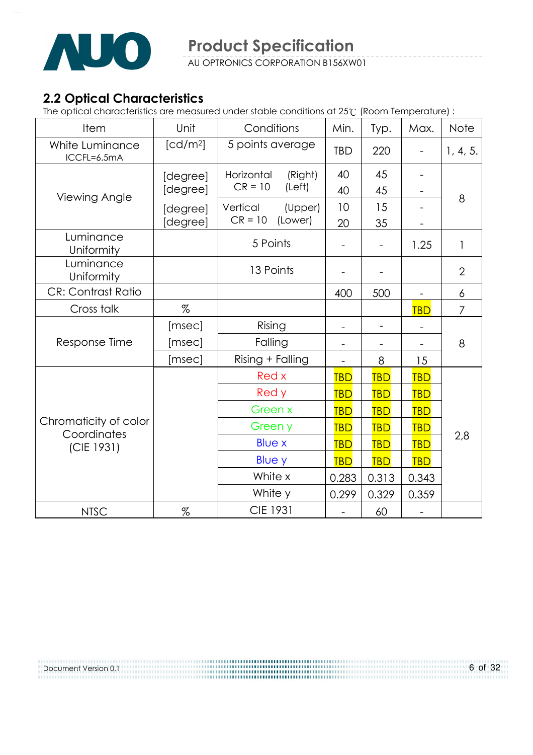

### 2.2 Optical Characteristics

The optical characteristics are measured under stable conditions at 25 (Room Temperature) :

| Item                                 | Unit                 | Conditions            | Min.                     | Typ.       | Max.              | Note           |
|--------------------------------------|----------------------|-----------------------|--------------------------|------------|-------------------|----------------|
| White Luminance<br>ICCFL=6.5mA       | [cd/m <sup>2</sup> ] | 5 points average      | <b>TBD</b>               | 220        |                   | 1, 4, 5.       |
|                                      | [degree]             | Horizontal<br>(Right) | 40                       | 45         | $\qquad \qquad -$ |                |
| Viewing Angle                        | [degree]             | $CR = 10$<br>(Left)   | 40                       | 45         |                   | 8              |
|                                      | [degree]             | Vertical<br>(Upper)   | 10                       | 15         |                   |                |
|                                      | [degree]             | $CR = 10$<br>(Lower)  | 20                       | 35         |                   |                |
| Luminance<br>Uniformity              |                      | 5 Points              |                          |            | 1.25              | 1              |
| Luminance<br>Uniformity              |                      | 13 Points             |                          |            |                   | $\overline{2}$ |
| <b>CR: Contrast Ratio</b>            |                      |                       | 400                      | 500        |                   | 6              |
| Cross talk                           | %                    |                       |                          |            | <b>TBD</b>        | 7              |
|                                      | [msec]               | Rising                | $\overline{\phantom{0}}$ |            |                   |                |
| Response Time                        | [msec]               | Falling               | $\qquad \qquad -$        |            |                   | 8              |
|                                      | [msec]               | Rising + Falling      |                          | 8          | 15                |                |
|                                      |                      | Red x                 | <b>TBD</b>               | <b>TBD</b> | <b>TBD</b>        |                |
|                                      |                      | Red y                 | <b>TBD</b>               | <b>TBD</b> | <b>TBD</b>        |                |
|                                      |                      | Green x               | <b>TBD</b>               | <b>TBD</b> | <b>TBD</b>        | 2,8            |
| Chromaticity of color<br>Coordinates |                      | Green y               | <b>TBD</b>               | <b>TBD</b> | <b>TBD</b>        |                |
| (CIE 1931)                           |                      | <b>Blue x</b>         | <b>TBD</b>               | <b>TBD</b> | <b>TBD</b>        |                |
|                                      |                      | <b>Blue y</b>         | <b>TBD</b>               | <b>TBD</b> | <b>TBD</b>        |                |
|                                      |                      | White x               | 0.283                    | 0.313      | 0.343             |                |
|                                      |                      | White y               | 0.299                    | 0.329      | 0.359             |                |
| <b>NTSC</b>                          | $\%$                 | <b>CIE 1931</b>       |                          | 60         |                   |                |

Document Version 0.1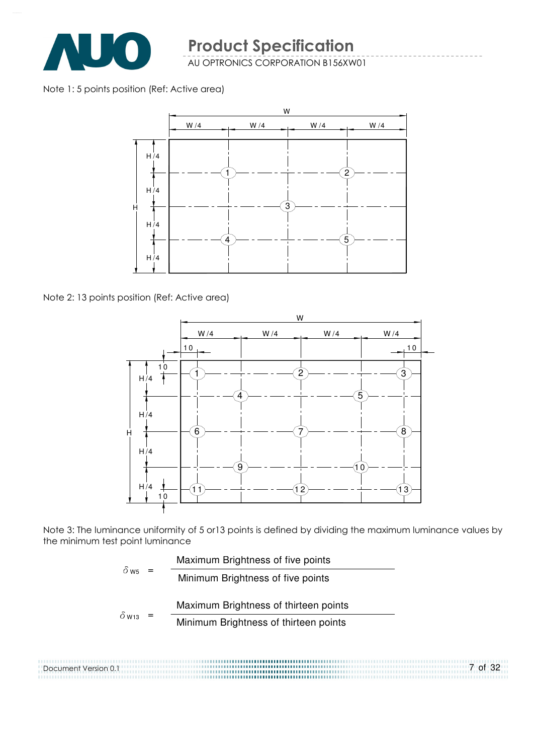

Note 1: 5 points position (Ref: Active area)



Note 2: 13 points position (Ref: Active area)

Document Version 0.1



Note 3: The luminance uniformity of 5 or13 points is defined by dividing the maximum luminance values by the minimum test point luminance

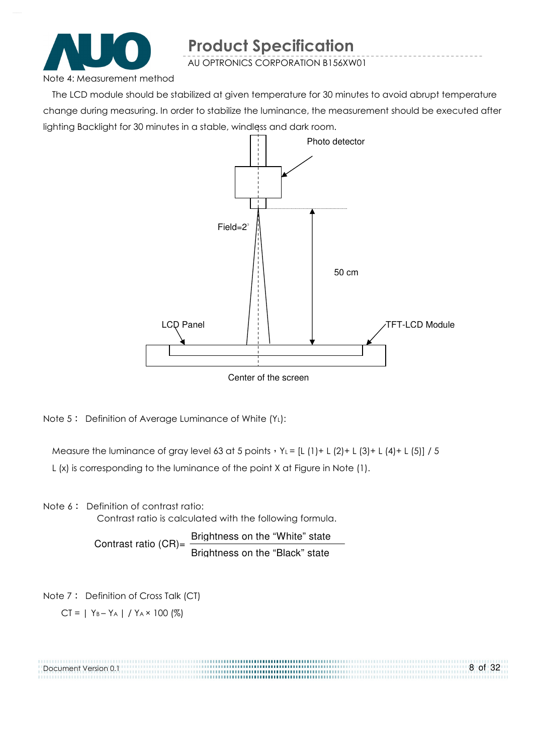

AU OPTRONICS CORPORATION B156XW01

Note 4: Measurement method

The LCD module should be stabilized at given temperature for 30 minutes to avoid abrupt temperature change during measuring. In order to stabilize the luminance, the measurement should be executed after lighting Backlight for 30 minutes in a stable, windless and dark room.



Note  $5$ : Definition of Average Luminance of White  $(Y_L)$ :

Measure the luminance of gray level 63 at 5 points  $Y_L = [L (1) + L (2) + L (3) + L (4) + L (5)] / 5$ L (x) is corresponding to the luminance of the point X at Figure in Note (1).

Note 6: Definition of contrast ratio:

Contrast ratio is calculated with the following formula.

Contrast ratio  $(CR)$ = Brightness on the "White" state Brightness on the "Black" state

Note 7: Definition of Cross Talk (CT)

 $CI = | Y_B - Y_A | / Y_A \times 100 (%)$ 

| Document Version 0.1 | 8 of 32 |
|----------------------|---------|
|                      |         |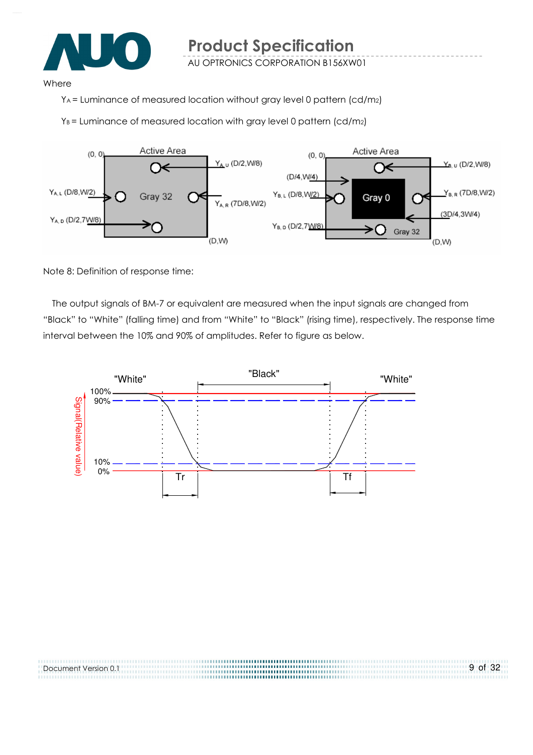

#### Where

YA = Luminance of measured location without gray level 0 pattern (cd/m2)

 $Y_B$  = Luminance of measured location with gray level 0 pattern (cd/m2)



Note 8: Definition of response time:

Document Version 0.1

The output signals of BM-7 or equivalent are measured when the input signals are changed from "Black" to "White" (falling time) and from "White" to "Black" (rising time), respectively. The response time interval between the 10% and 90% of amplitudes. Refer to figure as below.

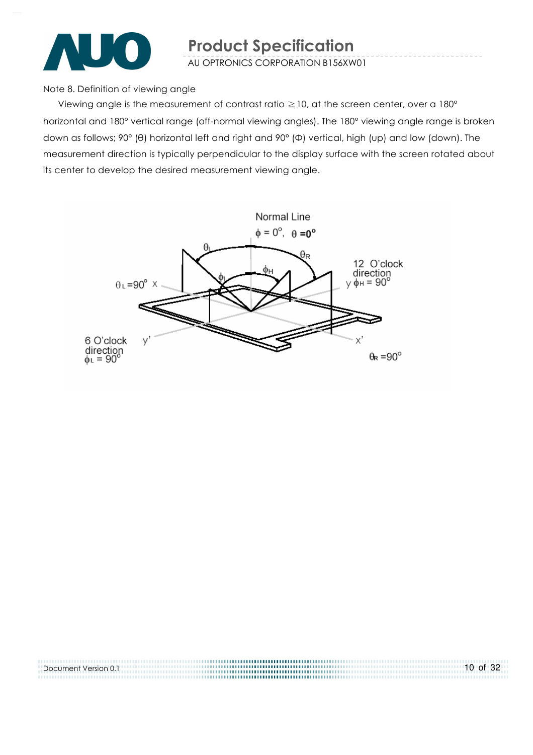

Note 8. Definition of viewing angle

Viewing angle is the measurement of contrast ratio  $\geq$  10, at the screen center, over a 180 $^{\circ}$ horizontal and 180° vertical range (off-normal viewing angles). The 180° viewing angle range is broken down as follows; 90° (θ) horizontal left and right and 90° (Φ) vertical, high (up) and low (down). The measurement direction is typically perpendicular to the display surface with the screen rotated about its center to develop the desired measurement viewing angle.



| Document Version 0.1 | $10$ of 32 |
|----------------------|------------|
|                      |            |
|                      |            |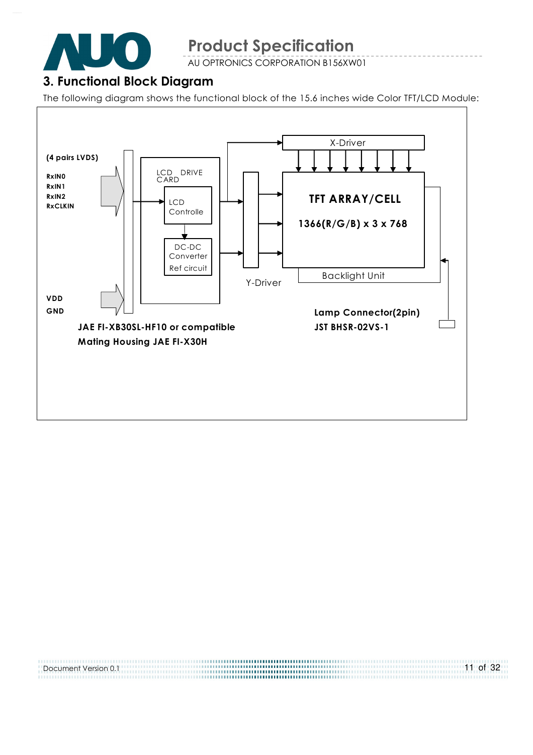

AU OPTRONICS CORPORATION B156XW01

# 3. Functional Block Diagram

The following diagram shows the functional block of the 15.6 inches wide Color TFT/LCD Module:



.................................... 11 of 32 Document Version 0.1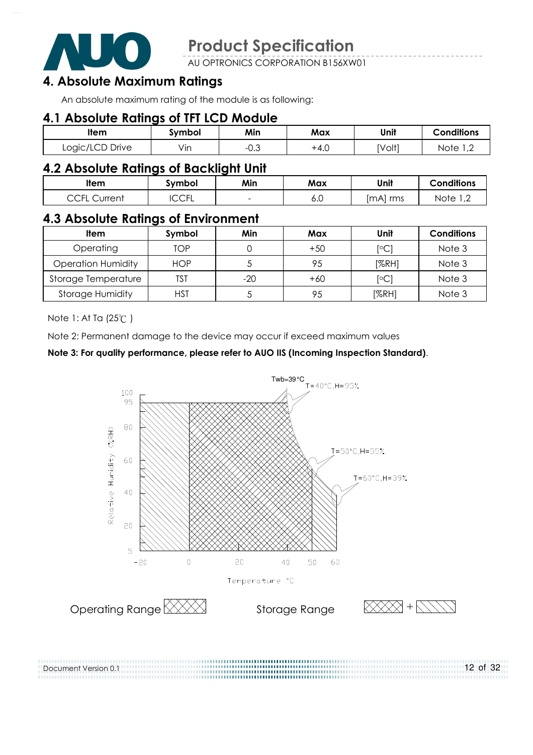

AU OPTRONICS CORPORATION B156XW01

# 4. Absolute Maximum Ratings

An absolute maximum rating of the module is as following:

#### 4.1 Absolute Ratings of TFT LCD Module

| <b>Item</b>     | symbol           | Min                   | Max  | Unit   | <b>Conditions</b>                       |
|-----------------|------------------|-----------------------|------|--------|-----------------------------------------|
| Logic/LCD Drive | $\cdot$ .<br>Vın | $\sim$ $\sim$<br>−∪.⊖ | +4.∪ | [Volt] | Note<br>$\overline{1}$ , $\overline{2}$ |

#### 4.2 Absolute Ratings of Backlight Unit

| ltem                                                           | Svmbol            | Min                      | Max | Unit        | <b>Conditions</b>                       |
|----------------------------------------------------------------|-------------------|--------------------------|-----|-------------|-----------------------------------------|
| $\overline{C}$ $\overline{C}$ $\overline{C}$<br>Current<br>ししー | $\cap$ rı<br>◡◡◟◟ | $\overline{\phantom{a}}$ | o.u | mAl)<br>rms | Note<br>$\overline{1}$ , $\overline{2}$ |

#### 4.3 Absolute Ratings of Environment

| Item                      | Symbol     | Min   | Max   | Unit             | <b>Conditions</b> |
|---------------------------|------------|-------|-------|------------------|-------------------|
| Operating                 | TOP        |       | $+50$ | <sup>[o</sup> C] | Note 3            |
| <b>Operation Humidity</b> | <b>HOP</b> |       | 95    | [%RH]            | Note 3            |
| Storage Temperature       | TST        | $-20$ | $+60$ | $\mathsf{[°C]}$  | Note 3            |
| <b>Storage Humidity</b>   | HST        |       | 95    | [%RH]            | Note 3            |

Note 1: At Ta (25°C)

Document Version 0.1

Note 2: Permanent damage to the device may occur if exceed maximum values

#### Note 3: For quality performance, please refer to AUO IIS (Incoming Inspection Standard).

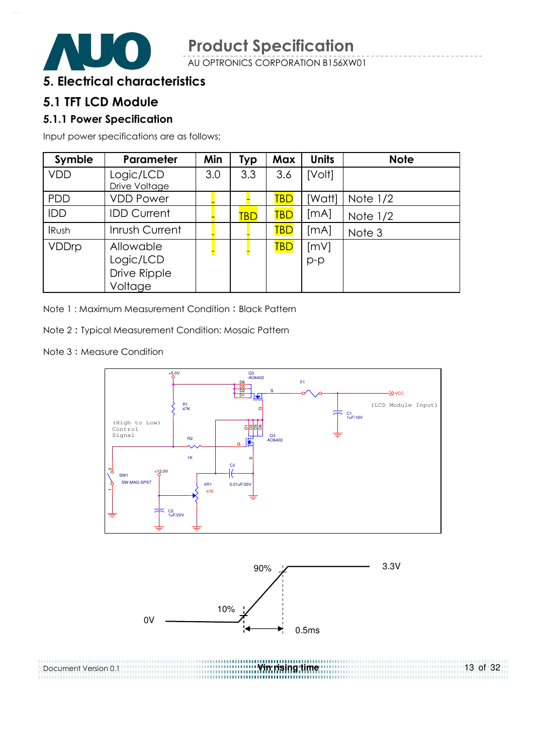

#### 5. Electrical characteristics

#### 5.1 TFT LCD Module

#### 5.1.1 Power Specification

Input power specifications are as follows;

| Symble       | <b>Parameter</b>                                  | Min | <b>Typ</b> | <b>Max</b> | <b>Units</b> | <b>Note</b> |
|--------------|---------------------------------------------------|-----|------------|------------|--------------|-------------|
| <b>VDD</b>   | Logic/LCD<br>Drive Voltage                        | 3.0 | 3.3        | 3.6        | [Volt]       |             |
| <b>PDD</b>   | <b>VDD Power</b>                                  |     |            | TBD        | [Watt]       | Note $1/2$  |
| IDD          | <b>IDD Current</b>                                |     | <b>TBD</b> | TBD        | [mA]         | Note $1/2$  |
| <b>IRush</b> | Inrush Current                                    |     |            | <b>TBD</b> | [mA]         | Note 3      |
| VDDrp        | Allowable<br>Logic/LCD<br>Drive Ripple<br>Voltage |     |            | <b>TBD</b> | [mV]<br>p-p  |             |

Note 1: Maximum Measurement Condition: Black Pattern

Note 2 Typical Measurement Condition: Mosaic Pattern

Note 3: Measure Condition



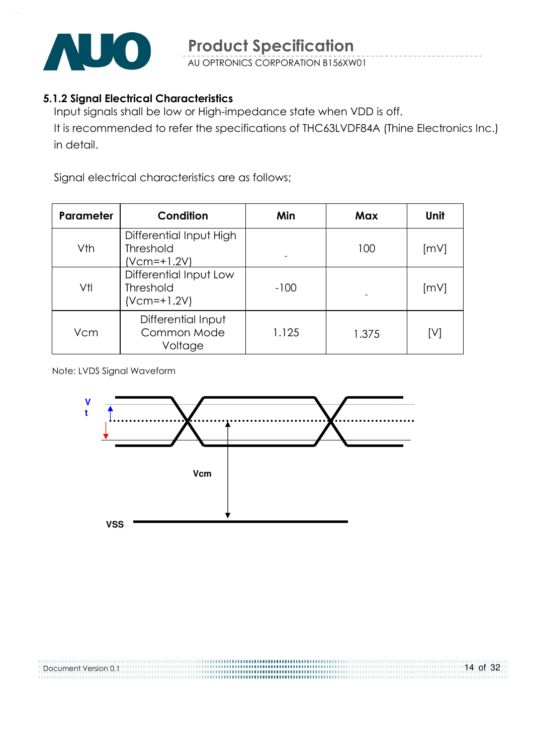

#### 5.1.2 Signal Electrical Characteristics

Input signals shall be low or High-impedance state when VDD is off.

It is recommended to refer the specifications of THC63LVDF84A (Thine Electronics Inc.) in detail.

Signal electrical characteristics are as follows;

| <b>Parameter</b> | Condition                                                    | Min    | Max   | Unit |
|------------------|--------------------------------------------------------------|--------|-------|------|
| Vth              | Differential Input High<br><b>Threshold</b><br>$(Vcm=+1.2V)$ |        | 100   | [mV] |
| Vtl              | Differential Input Low<br><b>Threshold</b><br>$(Vcm=+1.2V)$  | $-100$ |       | [mV] |
| Vcm              | Differential Input<br>Common Mode<br>Voltage                 | 1.125  | 1.375 | [V]  |

Note: LVDS Signal Waveform

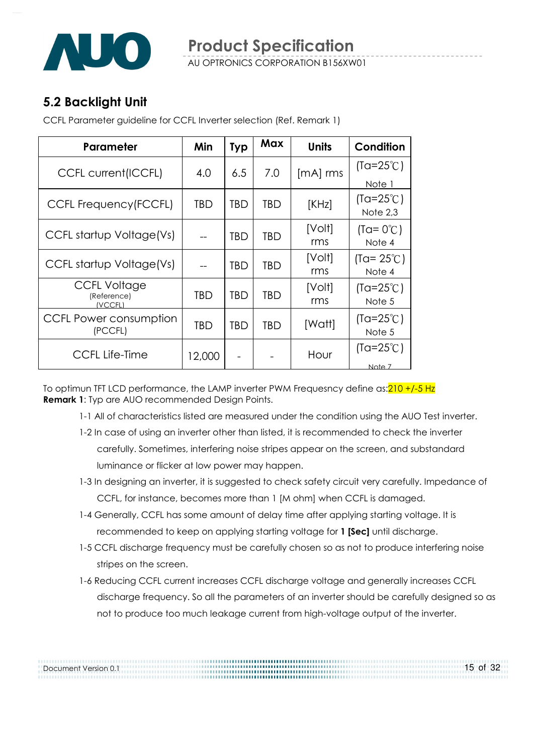

# 5.2 Backlight Unit

Document Version 0.1

CCFL Parameter guideline for CCFL Inverter selection (Ref. Remark 1)

| Parameter                                     | Min    | <b>Typ</b> | Max | <b>Units</b>  | Condition                      |
|-----------------------------------------------|--------|------------|-----|---------------|--------------------------------|
| <b>CCFL current(ICCFL)</b>                    | 4.0    | 6.5        | 7.0 | $[mA]$ rms    | $(Ta=25^{\circ}C)$             |
|                                               |        |            |     |               | Note 1                         |
| CCFL Frequency (FCCFL)                        | TBD    | <b>TBD</b> | TBD | [KHz]         | $(Ta=25^{\circ}C)$<br>Note 2,3 |
| CCFL startup Voltage(Vs)                      |        | <b>TBD</b> | TBD | [Volt]<br>rms | $(Ta = 0^{\circ}C)$<br>Note 4  |
| CCFL startup Voltage(Vs)                      |        | <b>TBD</b> | TBD | [Volt]<br>rms | $(Ta = 25^{\circ}C)$<br>Note 4 |
| <b>CCFL Voltage</b><br>(Reference)<br>(VCCFL) | TBD    | <b>TBD</b> | TBD | [Volt]<br>rms | $(Ta=25^{\circ}C)$<br>Note 5   |
| CCFL Power consumption<br>(PCCFL)             | TBD    | <b>TBD</b> | TBD | [Watt]        | $(Ta=25^{\circ}C)$<br>Note 5   |
| <b>CCFL Life-Time</b>                         | 12,000 |            |     | Hour          | $(Ta=25^{\circ}C)$<br>Note 7   |

To optimun TFT LCD performance, the LAMP inverter PWM Frequesncy define as: 210 +/-5 Hz **Remark 1:** Typ are AUO recommended Design Points.

- 1-1 All of characteristics listed are measured under the condition using the AUO Test inverter.
- 1-2 In case of using an inverter other than listed, it is recommended to check the inverter carefully. Sometimes, interfering noise stripes appear on the screen, and substandard luminance or flicker at low power may happen.
- 1-3 In designing an inverter, it is suggested to check safety circuit very carefully. Impedance of CCFL, for instance, becomes more than 1 [M ohm] when CCFL is damaged.
- 1-4 Generally, CCFL has some amount of delay time after applying starting voltage. It is recommended to keep on applying starting voltage for 1 [Sec] until discharge.

- 1-5 CCFL discharge frequency must be carefully chosen so as not to produce interfering noise stripes on the screen.
- 1-6 Reducing CCFL current increases CCFL discharge voltage and generally increases CCFL discharge frequency. So all the parameters of an inverter should be carefully designed so as not to produce too much leakage current from high-voltage output of the inverter.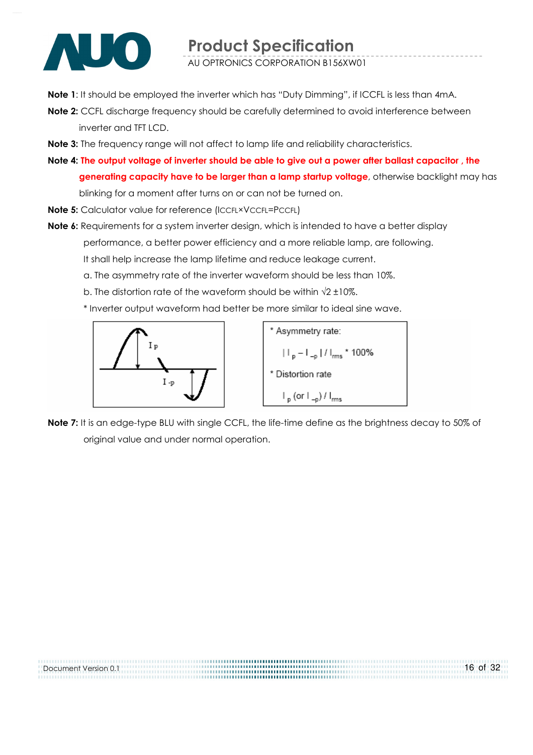

Note 1: It should be employed the inverter which has "Duty Dimming", if ICCFL is less than 4mA.

- Note 2: CCFL discharge frequency should be carefully determined to avoid interference between inverter and TFT LCD.
- Note 3: The frequency range will not affect to lamp life and reliability characteristics.
- Note 4: The output voltage of inverter should be able to give out a power after ballast capacitor , the generating capacity have to be larger than a lamp startup voltage, otherwise backlight may has blinking for a moment after turns on or can not be turned on.
- Note 5: Calculator value for reference (ICCFL×VCCFL=PCCFL)
- Note 6: Requirements for a system inverter design, which is intended to have a better display performance, a better power efficiency and a more reliable lamp, are following. It shall help increase the lamp lifetime and reduce leakage current.
	- a. The asymmetry rate of the inverter waveform should be less than 10%.
	- b. The distortion rate of the waveform should be within  $\sqrt{2} \pm 10\%$ .
	- \* Inverter output waveform had better be more similar to ideal sine wave.



Note 7: It is an edge-type BLU with single CCFL, the life-time define as the brightness decay to 50% of original value and under normal operation.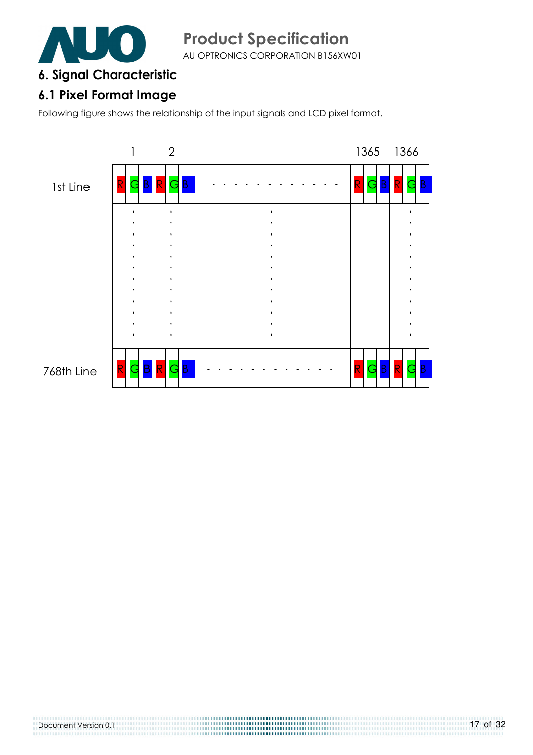

### 6. Signal Characteristic

# 6.1 Pixel Format Image

Following figure shows the relationship of the input signals and LCD pixel format.



Document Version 0.1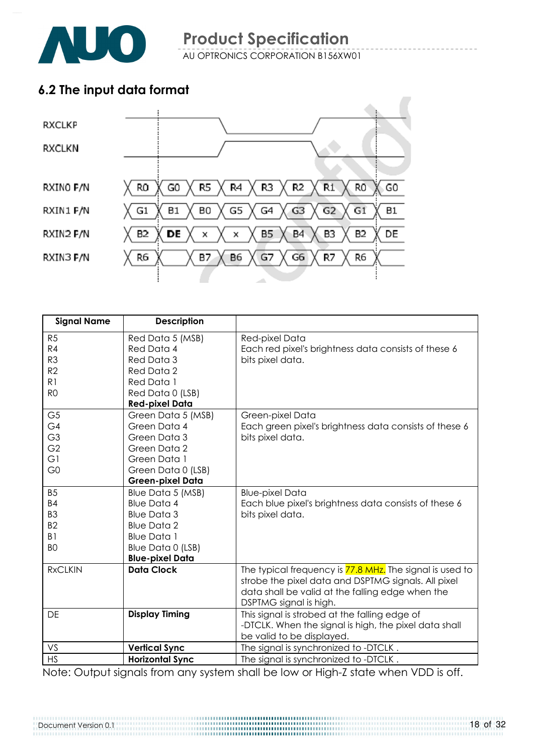# 6.2 The input data format



| <b>Signal Name</b> | <b>Description</b>     |                                                          |
|--------------------|------------------------|----------------------------------------------------------|
| R <sub>5</sub>     | Red Data 5 (MSB)       | Red-pixel Data                                           |
| R <sub>4</sub>     | Red Data 4             | Each red pixel's brightness data consists of these 6     |
| R <sub>3</sub>     | Red Data 3             | bits pixel data.                                         |
| R <sub>2</sub>     | Red Data 2             |                                                          |
| R1                 | Red Data 1             |                                                          |
| R <sub>O</sub>     | Red Data 0 (LSB)       |                                                          |
|                    | <b>Red-pixel Data</b>  |                                                          |
| G <sub>5</sub>     | Green Data 5 (MSB)     | Green-pixel Data                                         |
| G4                 | Green Data 4           | Each green pixel's brightness data consists of these 6   |
| G <sub>3</sub>     | Green Data 3           | bits pixel data.                                         |
| G <sub>2</sub>     | Green Data 2           |                                                          |
| G1                 | Green Data 1           |                                                          |
| G <sub>0</sub>     | Green Data 0 (LSB)     |                                                          |
|                    | Green-pixel Data       |                                                          |
| <b>B5</b>          | Blue Data 5 (MSB)      | <b>Blue-pixel Data</b>                                   |
| <b>B4</b>          | <b>Blue Data 4</b>     | Each blue pixel's brightness data consists of these 6    |
| B <sub>3</sub>     | <b>Blue Data 3</b>     | bits pixel data.                                         |
| B <sub>2</sub>     | <b>Blue Data 2</b>     |                                                          |
| B <sub>1</sub>     | <b>Blue Data 1</b>     |                                                          |
| B <sub>O</sub>     | Blue Data 0 (LSB)      |                                                          |
|                    | <b>Blue-pixel Data</b> |                                                          |
| <b>RxCLKIN</b>     | <b>Data Clock</b>      | The typical frequency is 77.8 MHz. The signal is used to |
|                    |                        | strobe the pixel data and DSPTMG signals. All pixel      |
|                    |                        | data shall be valid at the falling edge when the         |
|                    |                        | DSPTMG signal is high.                                   |
| DE                 | <b>Display Timing</b>  | This signal is strobed at the falling edge of            |
|                    |                        | -DTCLK. When the signal is high, the pixel data shall    |
|                    |                        | be valid to be displayed.                                |
| VS                 | <b>Vertical Sync</b>   | The signal is synchronized to -DTCLK.                    |
| <b>HS</b>          | <b>Horizontal Sync</b> | The signal is synchronized to -DTCLK.                    |

Note: Output signals from any system shall be low or High-Z state when VDD is off.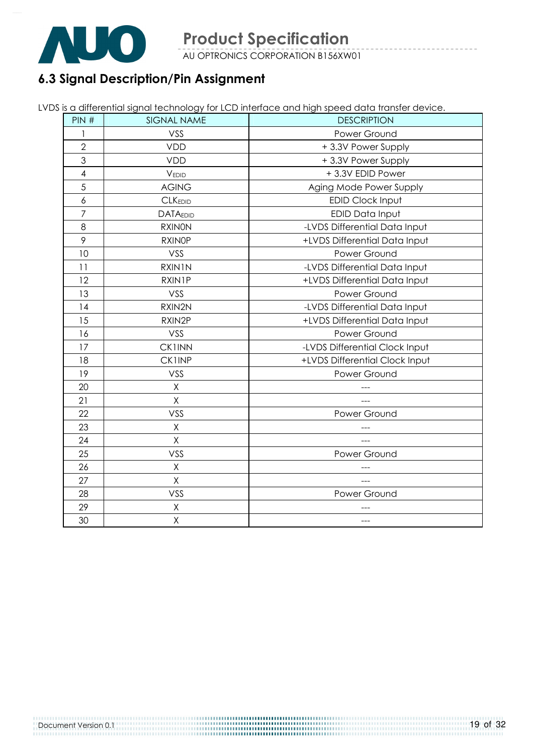

# 6.3 Signal Description/Pin Assignment

|  |  | LVDS is a differential signal technology for LCD interface and high speed data transfer device. |
|--|--|-------------------------------------------------------------------------------------------------|
|  |  |                                                                                                 |
|  |  |                                                                                                 |

| PIN#                     | <b>SIGNAL NAME</b> | <b>DESCRIPTION</b>             |
|--------------------------|--------------------|--------------------------------|
| 1                        | VSS                | Power Ground                   |
| $\overline{2}$           | <b>VDD</b>         | +3.3V Power Supply             |
| 3                        | <b>VDD</b>         | +3.3V Power Supply             |
| $\overline{\mathcal{A}}$ | VEDID              | +3.3V EDID Power               |
| 5                        | <b>AGING</b>       | Aging Mode Power Supply        |
| 6                        | <b>CLKEDID</b>     | <b>EDID Clock Input</b>        |
| $\overline{7}$           | <b>DATAEDID</b>    | EDID Data Input                |
| 8                        | <b>RXINON</b>      | -LVDS Differential Data Input  |
| 9                        | <b>RXINOP</b>      | +LVDS Differential Data Input  |
| 10                       | VSS                | Power Ground                   |
| 11                       | RXIN1N             | -LVDS Differential Data Input  |
| 12                       | <b>RXIN1P</b>      | +LVDS Differential Data Input  |
| 13                       | VSS                | Power Ground                   |
| 14                       | RXIN2N             | -LVDS Differential Data Input  |
| 15                       | RXIN2P             | +LVDS Differential Data Input  |
| 16                       | VSS                | Power Ground                   |
| 17                       | <b>CK1INN</b>      | -LVDS Differential Clock Input |
| 18                       | <b>CK1INP</b>      | +LVDS Differential Clock Input |
| 19                       | VSS                | Power Ground                   |
| 20                       | Χ                  |                                |
| 21                       | $\mathsf{X}% _{0}$ |                                |
| 22                       | VSS                | Power Ground                   |
| 23                       | X                  |                                |
| 24                       | X                  |                                |
| 25                       | VSS                | Power Ground                   |
| 26                       | X                  |                                |
| 27                       | Χ                  |                                |
| 28                       | VSS                | Power Ground                   |
| 29                       | Χ                  |                                |
| 30                       | X                  | ---                            |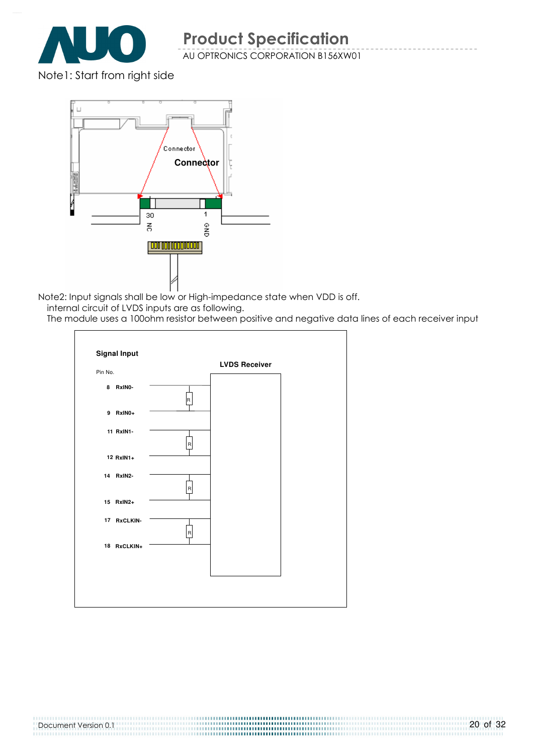

Note1: Start from right side



Note2: Input signals shall be low or High-impedance state when VDD is off.

internal circuit of LVDS inputs are as following.

The module uses a 100ohm resistor between positive and negative data lines of each receiver input

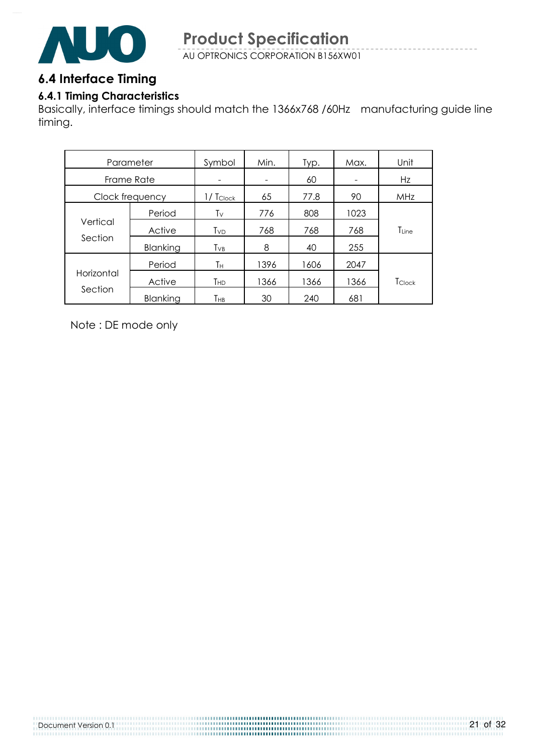

### 6.4 Interface Timing

#### 6.4.1 Timing Characteristics

Basically, interface timings should match the 1366x768 /60Hz manufacturing guide line timing.

| Parameter  |                 | Symbol          | Min. | Typ. | Max. | Unit       |
|------------|-----------------|-----------------|------|------|------|------------|
| Frame Rate |                 |                 |      | 60   |      | Hz         |
|            | Clock frequency | $1/$ Tclock     | 65   | 77.8 | 90   | <b>MHz</b> |
| Vertical   | Period          | Tν              | 776  | 808  | 1023 |            |
|            | Active          | T <sub>VD</sub> | 768  | 768  | 768  | TLine      |
| Section    | Blanking        | $T_{VB}$        | 8    | 40   | 255  |            |
|            | Period          | Τн              | 1396 | 1606 | 2047 |            |
| Horizontal | Active          | Тнр             | 1366 | 1366 | 1366 | Tclock     |
| Section    | Blanking        | Тнв             | 30   | 240  | 681  |            |

Note : DE mode only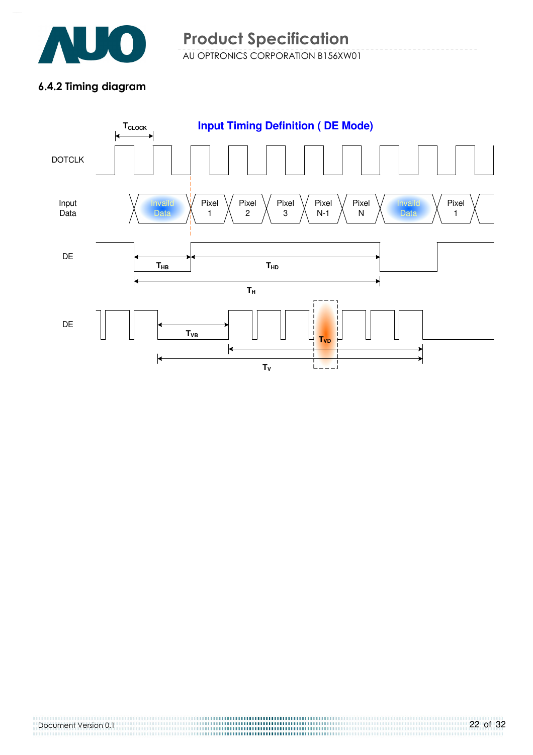

#### 6.4.2 Timing diagram

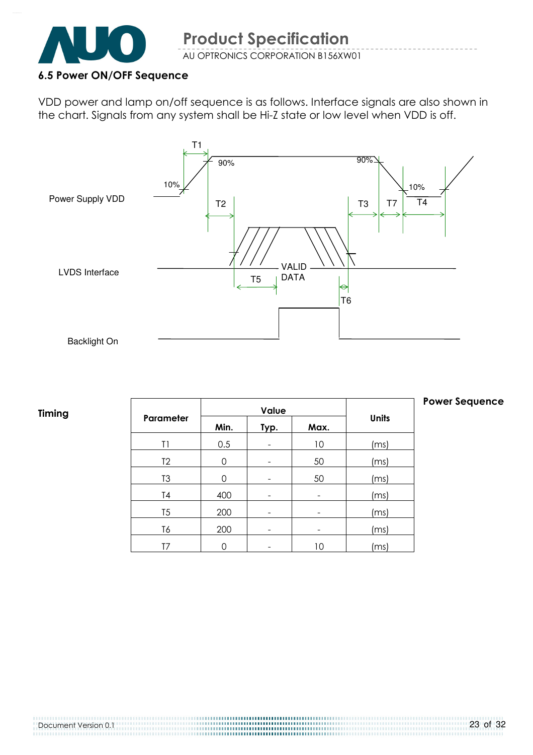

#### 6.5 Power ON/OFF Sequence

VDD power and lamp on/off sequence is as follows. Interface signals are also shown in the chart. Signals from any system shall be Hi-Z state or low level when VDD is off.



#### Timing

|                |      | Value |      |               |
|----------------|------|-------|------|---------------|
| Parameter      | Min. | Typ.  | Max. | <b>Units</b>  |
| T1             | 0.5  |       | 10   | (ms)          |
| T <sub>2</sub> | 0    |       | 50   | (ms)          |
| T <sub>3</sub> | O    |       | 50   | (ms)          |
| T <sub>4</sub> | 400  |       |      | (ms)          |
| T <sub>5</sub> | 200  |       |      | (ms)          |
| T6             | 200  |       |      | (ms)          |
|                |      |       | 10   | $\mathsf{ms}$ |

#### Power Sequence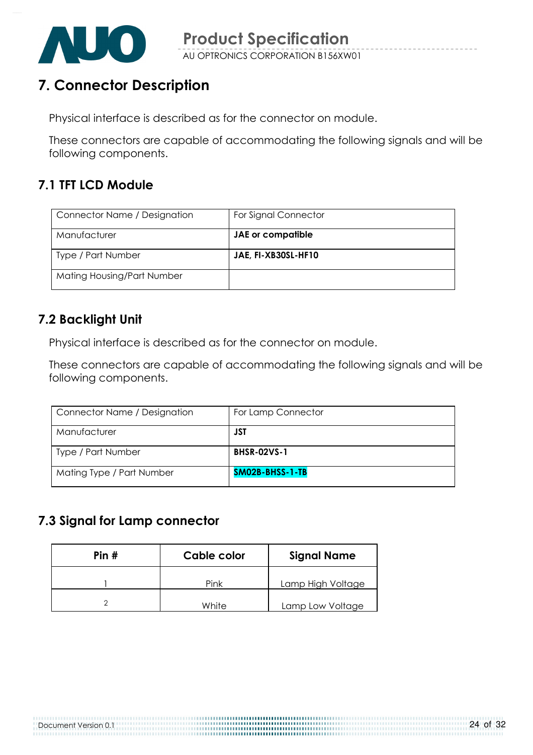

# 7. Connector Description

Physical interface is described as for the connector on module.

These connectors are capable of accommodating the following signals and will be following components.

# 7.1 TFT LCD Module

| Connector Name / Designation | For Signal Connector |
|------------------------------|----------------------|
| Manufacturer                 | JAE or compatible    |
| Type / Part Number           | JAE, FI-XB30SL-HF10  |
| Mating Housing/Part Number   |                      |

## 7.2 Backlight Unit

Physical interface is described as for the connector on module.

These connectors are capable of accommodating the following signals and will be following components.

| Connector Name / Designation | For Lamp Connector |
|------------------------------|--------------------|
| Manufacturer                 | JST                |
| Type / Part Number           | <b>BHSR-02VS-1</b> |
| Mating Type / Part Number    | SM02B-BHSS-1-TB    |

## 7.3 Signal for Lamp connector

| Pin# | Cable color | <b>Signal Name</b> |
|------|-------------|--------------------|
|      | Pink        | Lamp High Voltage  |
|      | White       | Lamp Low Voltage   |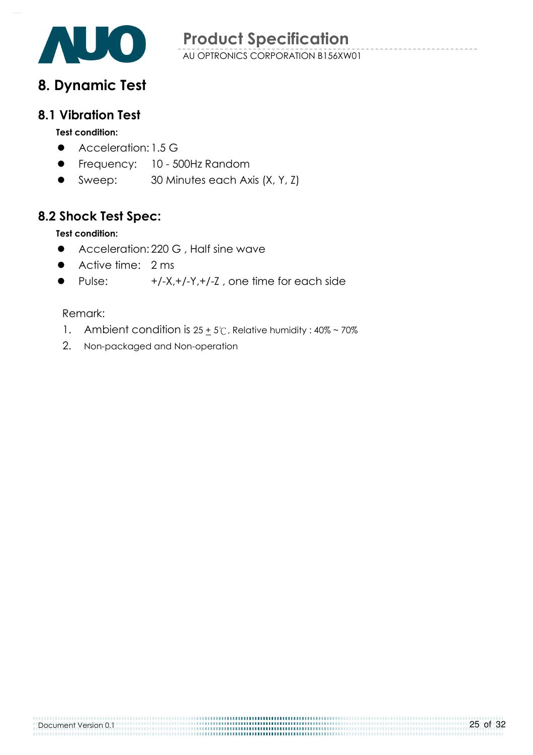

# 8. Dynamic Test

#### 8.1 Vibration Test

#### Test condition:

- Acceleration: 1.5 G
- **•** Frequency: 10 500Hz Random
- Sweep: 30 Minutes each Axis (X, Y, Z)

## 8.2 Shock Test Spec:

#### Test condition:

- **•** Acceleration: 220 G, Half sine wave
- Active time: 2 ms
- Pulse: +/-X,+/-Y,+/-Z , one time for each side

#### Remark:

1. Ambient condition is  $25 + 5^\circ$ C, Relative humidity:  $40\% \sim 70\%$ 

2. Non-packaged and Non-operation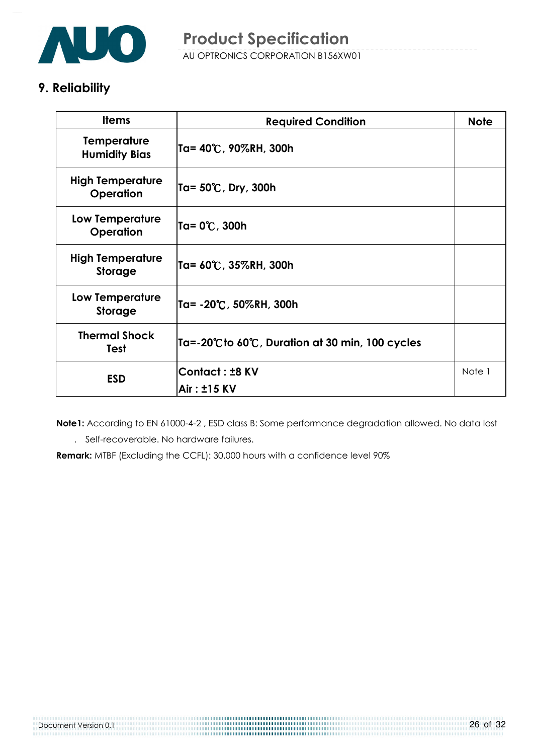

# 9. Reliability

| <b>Items</b>                               | <b>Required Condition</b>                        | <b>Note</b> |
|--------------------------------------------|--------------------------------------------------|-------------|
| <b>Temperature</b><br><b>Humidity Bias</b> | Ta= 40℃, 90%RH, 300h                             |             |
| <b>High Temperature</b><br>Operation       | Ta= 50℃, Dry, 300h                               |             |
| Low Temperature<br>Operation               | Ta= 0℃, 300h                                     |             |
| <b>High Temperature</b><br><b>Storage</b>  | Ta= 60℃, 35%RH, 300h                             |             |
| Low Temperature<br><b>Storage</b>          | Ta= -20°C, 50%RH, 300h                           |             |
| <b>Thermal Shock</b><br><b>Test</b>        | Ta=-20°C to 60°C, Duration at 30 min, 100 cycles |             |
| <b>ESD</b>                                 | <b>Contact: ±8 KV</b>                            | Note 1      |
|                                            | Air: ±15 KV                                      |             |

 Note1: According to EN 61000-4-2 , ESD class B: Some performance degradation allowed. No data lost . Self-recoverable. No hardware failures.

Remark: MTBF (Excluding the CCFL): 30,000 hours with a confidence level 90%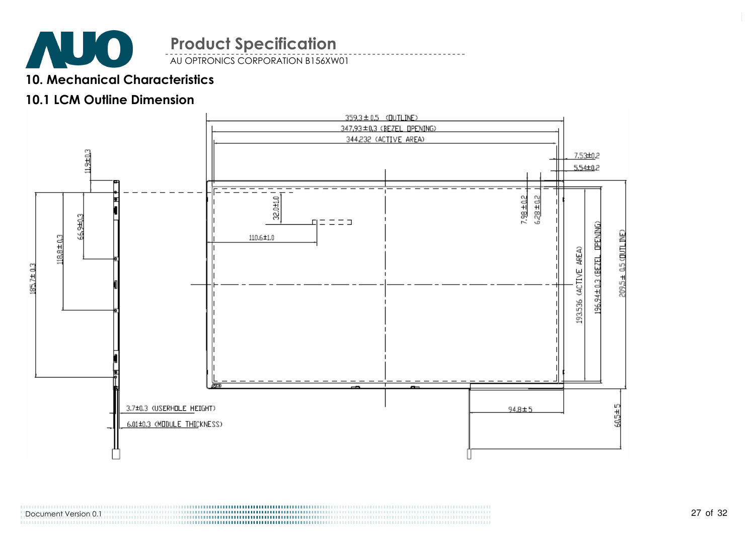

AU OPTRONICS CORPORATION B156XW01

### 10. Mechanical Characteristics

#### 10.1 LCM Outline Dimension



Document Version 0.1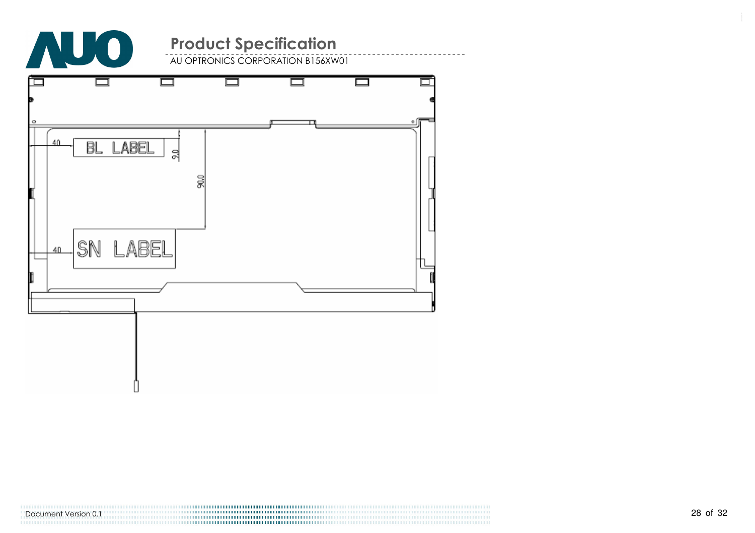

AU OPTRONICS CORPORATION B156XW01



Document Version 0.1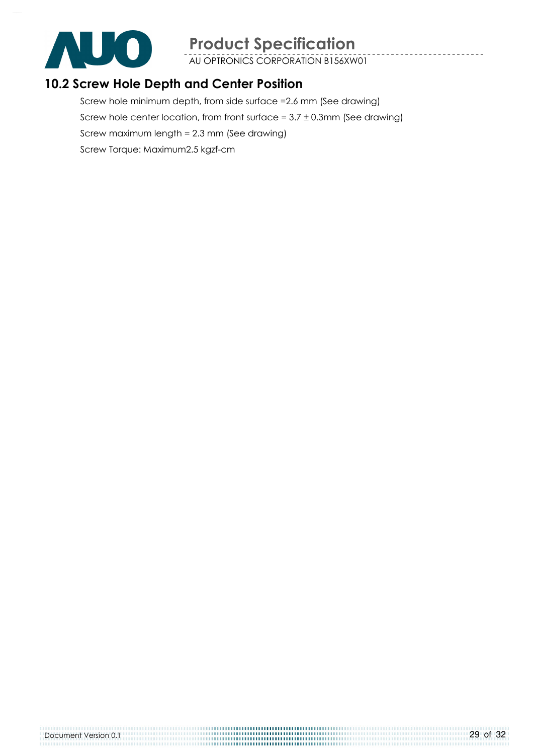![](_page_28_Picture_0.jpeg)

AU OPTRONICS CORPORATION B156XW01

## 10.2 Screw Hole Depth and Center Position

Screw hole minimum depth, from side surface =2.6 mm (See drawing) Screw hole center location, from front surface =  $3.7 \pm 0.3$ mm (See drawing) Screw maximum length = 2.3 mm (See drawing) Screw Torque: Maximum2.5 kgzf-cm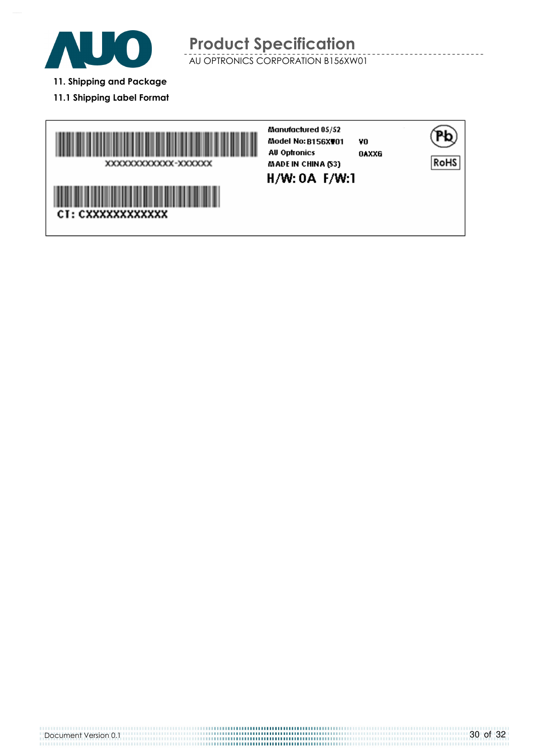![](_page_29_Picture_0.jpeg)

- 11. Shipping and Package
- 11.1 Shipping Label Format

![](_page_29_Picture_4.jpeg)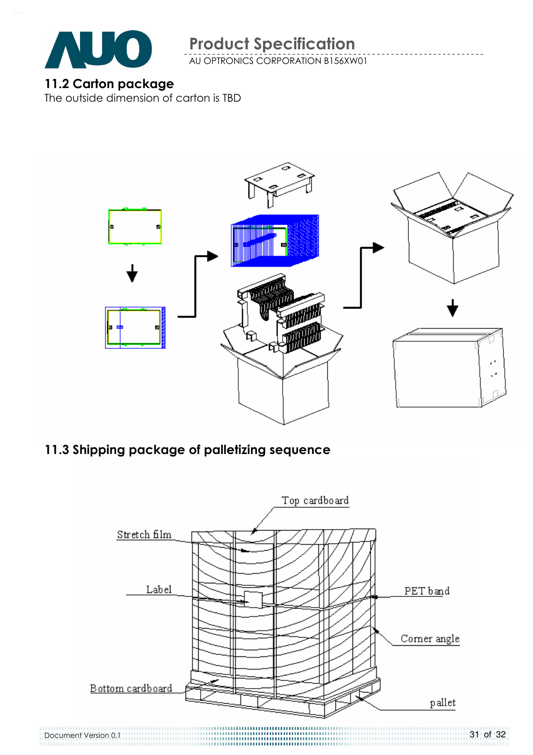![](_page_30_Picture_0.jpeg)

AU OPTRONICS CORPORATION B156XW01

# 11.2 Carton package

The outside dimension of carton is TBD

![](_page_30_Picture_5.jpeg)

# 11.3 Shipping package of palletizing sequence

![](_page_30_Figure_7.jpeg)